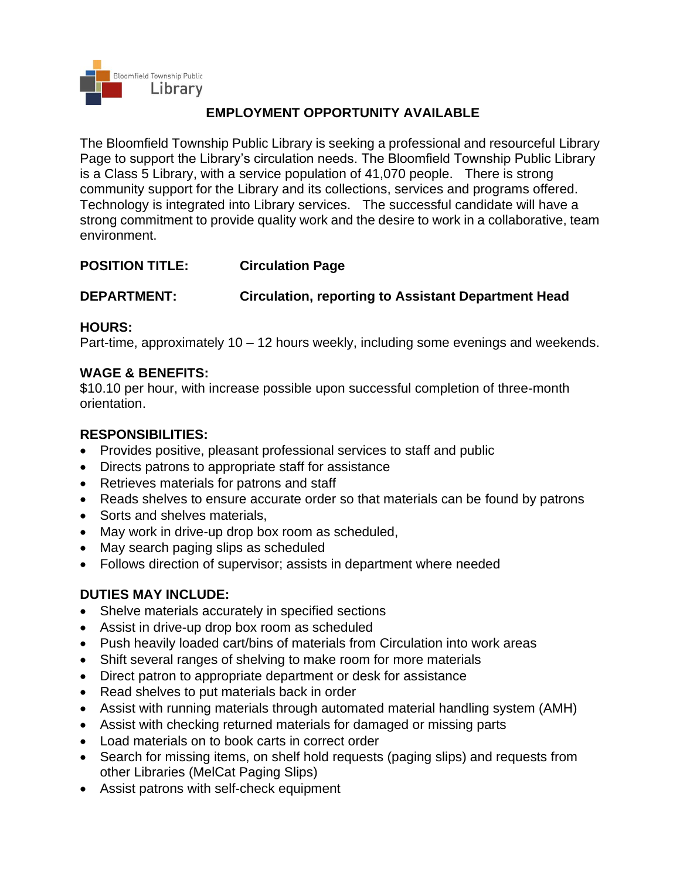

# **EMPLOYMENT OPPORTUNITY AVAILABLE**

The Bloomfield Township Public Library is seeking a professional and resourceful Library Page to support the Library's circulation needs. The Bloomfield Township Public Library is a Class 5 Library, with a service population of 41,070 people. There is strong community support for the Library and its collections, services and programs offered. Technology is integrated into Library services. The successful candidate will have a strong commitment to provide quality work and the desire to work in a collaborative, team environment.

## **POSITION TITLE: Circulation Page**

# **DEPARTMENT: Circulation, reporting to Assistant Department Head**

# **HOURS:**

Part-time, approximately 10 – 12 hours weekly, including some evenings and weekends.

## **WAGE & BENEFITS:**

\$10.10 per hour, with increase possible upon successful completion of three-month orientation.

# **RESPONSIBILITIES:**

- Provides positive, pleasant professional services to staff and public
- Directs patrons to appropriate staff for assistance
- Retrieves materials for patrons and staff
- Reads shelves to ensure accurate order so that materials can be found by patrons
- Sorts and shelves materials.
- May work in drive-up drop box room as scheduled,
- May search paging slips as scheduled
- Follows direction of supervisor; assists in department where needed

## **DUTIES MAY INCLUDE:**

- Shelve materials accurately in specified sections
- Assist in drive-up drop box room as scheduled
- Push heavily loaded cart/bins of materials from Circulation into work areas
- Shift several ranges of shelving to make room for more materials
- Direct patron to appropriate department or desk for assistance
- Read shelves to put materials back in order
- Assist with running materials through automated material handling system (AMH)
- Assist with checking returned materials for damaged or missing parts
- Load materials on to book carts in correct order
- Search for missing items, on shelf hold requests (paging slips) and requests from other Libraries (MelCat Paging Slips)
- Assist patrons with self-check equipment